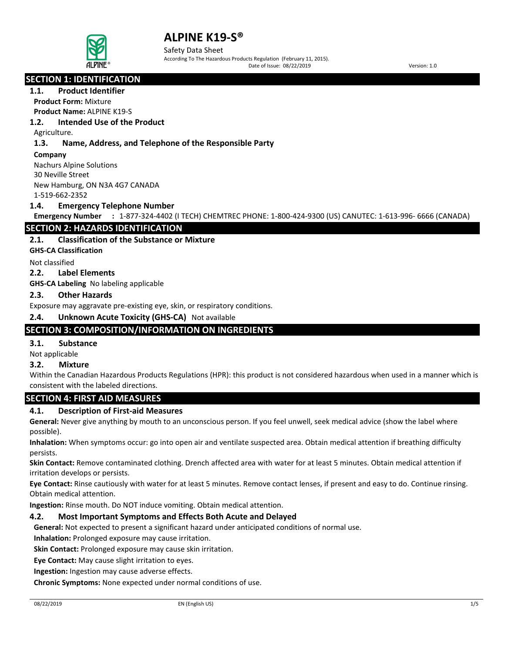

Safety Data Sheet According To The Hazardous Products Regulation (February 11, 2015). Date of Issue: 08/22/2019 Version: 1.0

# **SECTION 1: IDENTIFICATION**

# **1.1. Product Identifier**

**Product Form:** Mixture

**Product Name:** ALPINE K19-S

# **1.2. Intended Use of the Product**

Agriculture.

### **1.3. Name, Address, and Telephone of the Responsible Party**

**Company**  Nachurs Alpine Solutions 30 Neville Street New Hamburg, ON N3A 4G7 CANADA

1-519-662-2352

#### **1.4. Emergency Telephone Number**

**Emergency Number :** 1-877-324-4402 (I TECH) CHEMTREC PHONE: 1-800-424-9300 (US) CANUTEC: 1-613-996- 6666 (CANADA)

# **SECTION 2: HAZARDS IDENTIFICATION**

#### **2.1. Classification of the Substance or Mixture**

**GHS-CA Classification**

Not classified

#### **2.2. Label Elements**

**GHS-CA Labeling** No labeling applicable

#### **2.3. Other Hazards**

Exposure may aggravate pre-existing eye, skin, or respiratory conditions.

#### **2.4. Unknown Acute Toxicity (GHS-CA)** Not available

# **SECTION 3: COMPOSITION/INFORMATION ON INGREDIENTS**

#### **3.1. Substance**

Not applicable

### **3.2. Mixture**

Within the Canadian Hazardous Products Regulations (HPR): this product is not considered hazardous when used in a manner which is consistent with the labeled directions.

## **SECTION 4: FIRST AID MEASURES**

## **4.1. Description of First-aid Measures**

**General:** Never give anything by mouth to an unconscious person. If you feel unwell, seek medical advice (show the label where possible).

**Inhalation:** When symptoms occur: go into open air and ventilate suspected area. Obtain medical attention if breathing difficulty persists.

**Skin Contact:** Remove contaminated clothing. Drench affected area with water for at least 5 minutes. Obtain medical attention if irritation develops or persists.

**Eye Contact:** Rinse cautiously with water for at least 5 minutes. Remove contact lenses, if present and easy to do. Continue rinsing. Obtain medical attention.

**Ingestion:** Rinse mouth. Do NOT induce vomiting. Obtain medical attention.

## **4.2. Most Important Symptoms and Effects Both Acute and Delayed**

**General:** Not expected to present a significant hazard under anticipated conditions of normal use.

**Inhalation:** Prolonged exposure may cause irritation.

**Skin Contact:** Prolonged exposure may cause skin irritation.

**Eye Contact:** May cause slight irritation to eyes.

**Ingestion:** Ingestion may cause adverse effects.

**Chronic Symptoms:** None expected under normal conditions of use.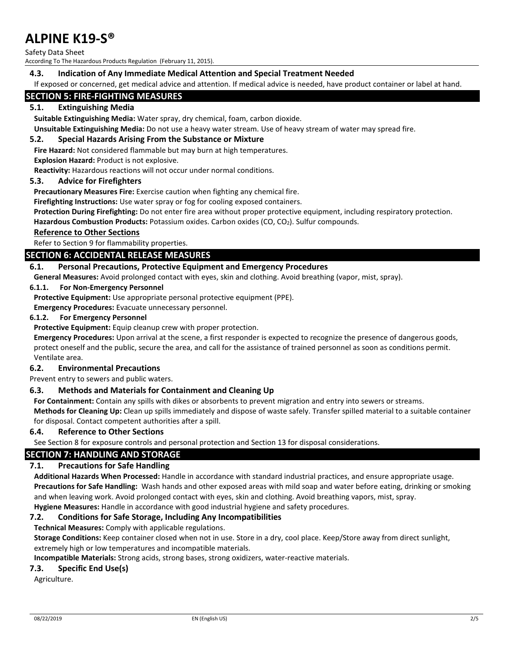Safety Data Sheet

According To The Hazardous Products Regulation (February 11, 2015).

#### **4.3. Indication of Any Immediate Medical Attention and Special Treatment Needed**

If exposed or concerned, get medical advice and attention. If medical advice is needed, have product container or label at hand.

# **SECTION 5: FIRE-FIGHTING MEASURES**

#### **5.1. Extinguishing Media**

**Suitable Extinguishing Media:** Water spray, dry chemical, foam, carbon dioxide.

**Unsuitable Extinguishing Media:** Do not use a heavy water stream. Use of heavy stream of water may spread fire.

#### **5.2. Special Hazards Arising From the Substance or Mixture**

**Fire Hazard:** Not considered flammable but may burn at high temperatures.

#### **Explosion Hazard:** Product is not explosive. **Reactivity:** Hazardous reactions will not occur under normal conditions.

#### **5.3. Advice for Firefighters**

**Precautionary Measures Fire:** Exercise caution when fighting any chemical fire.

**Firefighting Instructions:** Use water spray or fog for cooling exposed containers.

**Protection During Firefighting:** Do not enter fire area without proper protective equipment, including respiratory protection.

**Hazardous Combustion Products:** Potassium oxides. Carbon oxides (CO, CO2). Sulfur compounds.

#### **Reference to Other Sections**

Refer to Section 9 for flammability properties.

#### **SECTION 6: ACCIDENTAL RELEASE MEASURES**

#### **6.1. Personal Precautions, Protective Equipment and Emergency Procedures**

**General Measures:** Avoid prolonged contact with eyes, skin and clothing. Avoid breathing (vapor, mist, spray).

#### **6.1.1. For Non-Emergency Personnel**

**Protective Equipment:** Use appropriate personal protective equipment (PPE).

**Emergency Procedures:** Evacuate unnecessary personnel.

#### **6.1.2. For Emergency Personnel**

**Protective Equipment:** Equip cleanup crew with proper protection.

**Emergency Procedures:** Upon arrival at the scene, a first responder is expected to recognize the presence of dangerous goods, protect oneself and the public, secure the area, and call for the assistance of trained personnel as soon as conditions permit. Ventilate area.

#### **6.2. Environmental Precautions**

Prevent entry to sewers and public waters.

#### **6.3. Methods and Materials for Containment and Cleaning Up**

**For Containment:** Contain any spills with dikes or absorbents to prevent migration and entry into sewers or streams.

**Methods for Cleaning Up:** Clean up spills immediately and dispose of waste safely. Transfer spilled material to a suitable container for disposal. Contact competent authorities after a spill.

#### **6.4. Reference to Other Sections**

See Section 8 for exposure controls and personal protection and Section 13 for disposal considerations.

#### **SECTION 7: HANDLING AND STORAGE**

#### **7.1. Precautions for Safe Handling**

**Additional Hazards When Processed:** Handle in accordance with standard industrial practices, and ensure appropriate usage. **Precautions for Safe Handling:** Wash hands and other exposed areas with mild soap and water before eating, drinking or smoking and when leaving work. Avoid prolonged contact with eyes, skin and clothing. Avoid breathing vapors, mist, spray. **Hygiene Measures:** Handle in accordance with good industrial hygiene and safety procedures.

#### **7.2. Conditions for Safe Storage, Including Any Incompatibilities**

**Technical Measures:** Comply with applicable regulations.

**Storage Conditions:** Keep container closed when not in use. Store in a dry, cool place. Keep/Store away from direct sunlight, extremely high or low temperatures and incompatible materials.

**Incompatible Materials:** Strong acids, strong bases, strong oxidizers, water-reactive materials.

#### **7.3. Specific End Use(s)**

Agriculture.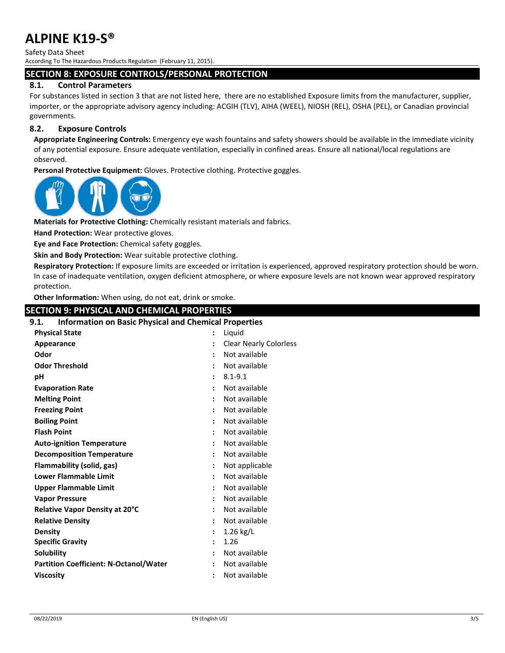Safety Data Sheet

According To The Hazardous Products Regulation (February 11, 2015).

#### **SECTION 8: EXPOSURE CONTROLS/PERSONAL PROTECTION**

#### **8.1. Control Parameters**

For substances listed in section 3 that are not listed here, there are no established Exposure limits from the manufacturer, supplier, importer, or the appropriate advisory agency including: ACGIH (TLV), AIHA (WEEL), NIOSH (REL), OSHA (PEL), or Canadian provincial governments.

#### **8.2. Exposure Controls**

**Appropriate Engineering Controls:** Emergency eye wash fountains and safety showers should be available in the immediate vicinity of any potential exposure. Ensure adequate ventilation, especially in confined areas. Ensure all national/local regulations are observed.

**Personal Protective Equipment:** Gloves. Protective clothing. Protective goggles.



**Materials for Protective Clothing:** Chemically resistant materials and fabrics.

**Hand Protection:** Wear protective gloves.

**Eye and Face Protection:** Chemical safety goggles.

**Skin and Body Protection:** Wear suitable protective clothing.

**Respiratory Protection:** If exposure limits are exceeded or irritation is experienced, approved respiratory protection should be worn. In case of inadequate ventilation, oxygen deficient atmosphere, or where exposure levels are not known wear approved respiratory protection.

**Other Information:** When using, do not eat, drink or smoke.

#### **SECTION 9: PHYSICAL AND CHEMICAL PROPERTIES**

# **9.1. Information on Basic Physical and Chemical Properties**

| <b>Physical State</b>                         | $\ddot{\cdot}$       | Liquid                        |
|-----------------------------------------------|----------------------|-------------------------------|
| Appearance                                    | $\ddot{\phantom{a}}$ | <b>Clear Nearly Colorless</b> |
| Odor                                          | $\ddot{\phantom{a}}$ | Not available                 |
| <b>Odor Threshold</b>                         | $\ddot{\cdot}$       | Not available                 |
| рH                                            | $\ddot{\phantom{a}}$ | $8.1 - 9.1$                   |
| <b>Evaporation Rate</b>                       | $\ddot{\phantom{a}}$ | Not available                 |
| <b>Melting Point</b>                          | $\ddot{\cdot}$       | Not available                 |
| <b>Freezing Point</b>                         | $\ddot{\phantom{a}}$ | Not available                 |
| <b>Boiling Point</b>                          | $\ddot{\phantom{a}}$ | Not available                 |
| <b>Flash Point</b>                            | $\ddot{\phantom{a}}$ | Not available                 |
| <b>Auto-ignition Temperature</b>              | $\ddot{\phantom{a}}$ | Not available                 |
| <b>Decomposition Temperature</b>              | $\ddot{\phantom{a}}$ | Not available                 |
| Flammability (solid, gas)                     | $\ddot{\cdot}$       | Not applicable                |
| <b>Lower Flammable Limit</b>                  | $\ddot{\phantom{a}}$ | Not available                 |
| Upper Flammable Limit                         | $\ddot{\cdot}$       | Not available                 |
| <b>Vapor Pressure</b>                         | $\ddot{\phantom{a}}$ | Not available                 |
| Relative Vapor Density at 20°C                | $\ddot{\cdot}$       | Not available                 |
| <b>Relative Density</b>                       | $\ddot{\phantom{a}}$ | Not available                 |
| <b>Density</b>                                | $\ddot{\phantom{a}}$ | $1.26$ kg/L                   |
| <b>Specific Gravity</b>                       | $\ddot{\phantom{a}}$ | 1.26                          |
| <b>Solubility</b>                             | $\ddot{\phantom{a}}$ | Not available                 |
| <b>Partition Coefficient: N-Octanol/Water</b> | $\ddot{\phantom{a}}$ | Not available                 |
| <b>Viscosity</b>                              | $\ddot{\phantom{a}}$ | Not available                 |
|                                               |                      |                               |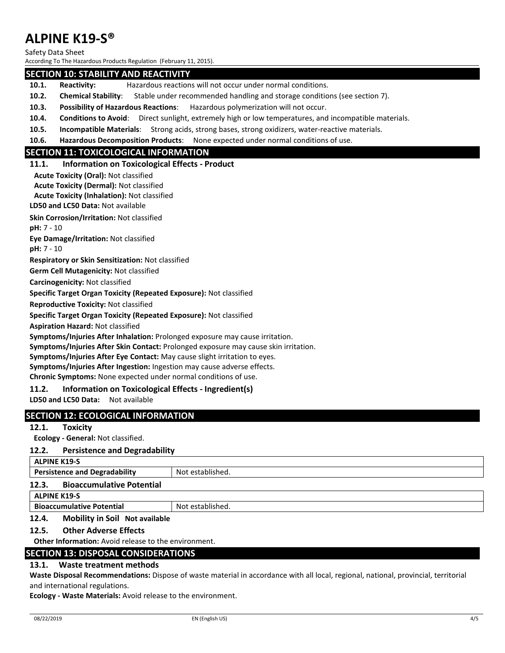Safety Data Sheet

According To The Hazardous Products Regulation (February 11, 2015).

#### **SECTION 10: STABILITY AND REACTIVITY**

- **10.1. Reactivity:** Hazardous reactions will not occur under normal conditions.
- **10.2. Chemical Stability**: Stable under recommended handling and storage conditions (see section 7).
- **10.3. Possibility of Hazardous Reactions**: Hazardous polymerization will not occur.
- **10.4. Conditions to Avoid**: Direct sunlight, extremely high or low temperatures, and incompatible materials.
- **10.5. Incompatible Materials**: Strong acids, strong bases, strong oxidizers, water-reactive materials.
- **10.6. Hazardous Decomposition Products**: None expected under normal conditions of use.

# **SECTION 11: TOXICOLOGICAL INFORMATION**

#### **11.1. Information on Toxicological Effects - Product**

**Acute Toxicity (Oral):** Not classified

**Acute Toxicity (Dermal):** Not classified

**Acute Toxicity (Inhalation):** Not classified

#### **LD50 and LC50 Data:** Not available

**Skin Corrosion/Irritation:** Not classified

**pH:** 7 - 10

**Eye Damage/Irritation:** Not classified

**pH:** 7 - 10

**Respiratory or Skin Sensitization:** Not classified

**Germ Cell Mutagenicity:** Not classified

**Carcinogenicity:** Not classified

**Specific Target Organ Toxicity (Repeated Exposure):** Not classified

**Reproductive Toxicity:** Not classified

**Specific Target Organ Toxicity (Repeated Exposure):** Not classified

**Aspiration Hazard:** Not classified

**Symptoms/Injuries After Inhalation:** Prolonged exposure may cause irritation.

**Symptoms/Injuries After Skin Contact:** Prolonged exposure may cause skin irritation.

**Symptoms/Injuries After Eye Contact:** May cause slight irritation to eyes.

**Symptoms/Injuries After Ingestion:** Ingestion may cause adverse effects.

**Chronic Symptoms:** None expected under normal conditions of use.

#### **11.2. Information on Toxicological Effects - Ingredient(s)**

**LD50 and LC50 Data:** Not available

#### **SECTION 12: ECOLOGICAL INFORMATION**

#### **12.1. Toxicity**

**Ecology - General:** Not classified.

#### **12.2. Persistence and Degradability**

**ALPINE K19-S**

**Persistence and Degradability | Not established.** 

#### **12.3. Bioaccumulative Potential**

#### **ALPINE K19-S**

**Bioaccumulative Potential Accord Not established.** 

#### **12.4. Mobility in Soil Not available**

#### **12.5. Other Adverse Effects**

**Other Information:** Avoid release to the environment.

#### **SECTION 13: DISPOSAL CONSIDERATIONS**

#### **13.1. Waste treatment methods**

**Waste Disposal Recommendations:** Dispose of waste material in accordance with all local, regional, national, provincial, territorial and international regulations.

**Ecology - Waste Materials:** Avoid release to the environment.